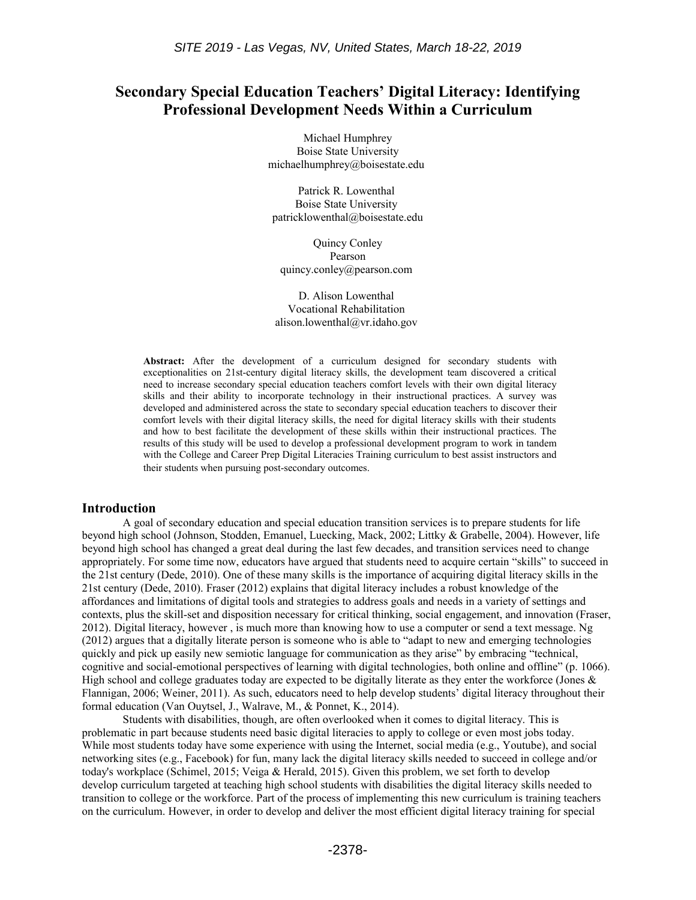# **Secondary Special Education Teachers' Digital Literacy: Identifying Professional Development Needs Within a Curriculum**

Michael Humphrey Boise State University michaelhumphrey@boisestate.edu

Patrick R. Lowenthal Boise State University patricklowenthal@boisestate.edu

Quincy Conley Pearson quincy.conley@pearson.com

D. Alison Lowenthal Vocational Rehabilitation alison.lowenthal@vr.idaho.gov

**Abstract:** After the development of a curriculum designed for secondary students with exceptionalities on 21st-century digital literacy skills, the development team discovered a critical need to increase secondary special education teachers comfort levels with their own digital literacy skills and their ability to incorporate technology in their instructional practices. A survey was developed and administered across the state to secondary special education teachers to discover their comfort levels with their digital literacy skills, the need for digital literacy skills with their students and how to best facilitate the development of these skills within their instructional practices. The results of this study will be used to develop a professional development program to work in tandem with the College and Career Prep Digital Literacies Training curriculum to best assist instructors and their students when pursuing post-secondary outcomes.

#### **Introduction**

A goal of secondary education and special education transition services is to prepare students for life beyond high school (Johnson, Stodden, Emanuel, Luecking, Mack, 2002; Littky & Grabelle, 2004). However, life beyond high school has changed a great deal during the last few decades, and transition services need to change appropriately. For some time now, educators have argued that students need to acquire certain "skills" to succeed in the 21st century (Dede, 2010). One of these many skills is the importance of acquiring digital literacy skills in the 21st century (Dede, 2010). Fraser (2012) explains that digital literacy includes a robust knowledge of the affordances and limitations of digital tools and strategies to address goals and needs in a variety of settings and contexts, plus the skill-set and disposition necessary for critical thinking, social engagement, and innovation (Fraser, 2012). Digital literacy, however , is much more than knowing how to use a computer or send a text message. Ng (2012) argues that a digitally literate person is someone who is able to "adapt to new and emerging technologies quickly and pick up easily new semiotic language for communication as they arise" by embracing "technical, cognitive and social-emotional perspectives of learning with digital technologies, both online and offline" (p. 1066). High school and college graduates today are expected to be digitally literate as they enter the workforce (Jones  $\&$ Flannigan, 2006; Weiner, 2011). As such, educators need to help develop students' digital literacy throughout their formal education (Van Ouytsel, J., Walrave, M., & Ponnet, K., 2014).

Students with disabilities, though, are often overlooked when it comes to digital literacy. This is problematic in part because students need basic digital literacies to apply to college or even most jobs today. While most students today have some experience with using the Internet, social media (e.g., Youtube), and social networking sites (e.g., Facebook) for fun, many lack the digital literacy skills needed to succeed in college and/or today's workplace (Schimel, 2015; Veiga & Herald, 2015). Given this problem, we set forth to develop develop curriculum targeted at teaching high school students with disabilities the digital literacy skills needed to transition to college or the workforce. Part of the process of implementing this new curriculum is training teachers on the curriculum. However, in order to develop and deliver the most efficient digital literacy training for special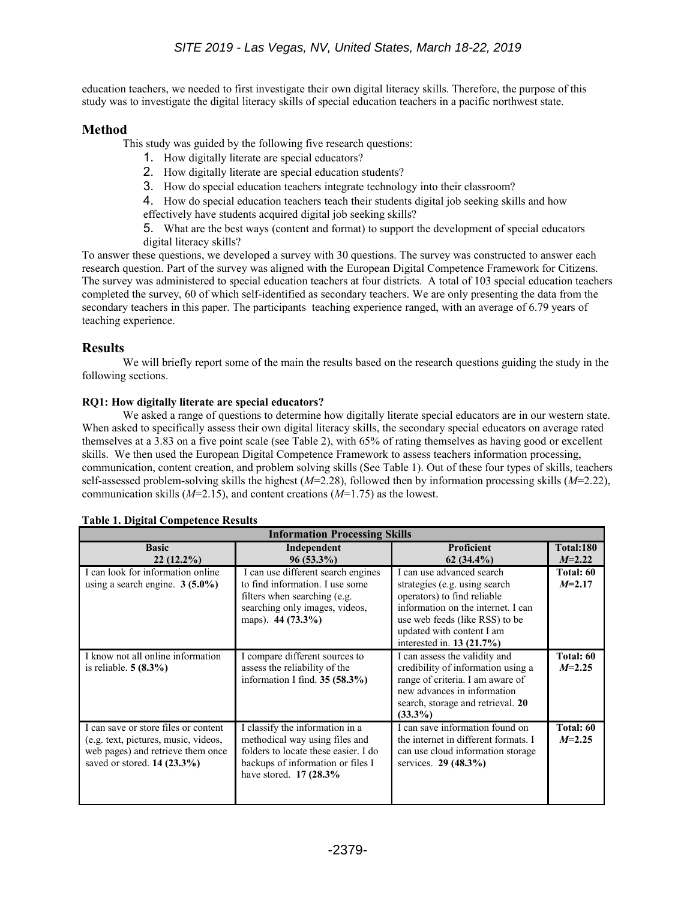education teachers, we needed to first investigate their own digital literacy skills. Therefore, the purpose of this study was to investigate the digital literacy skills of special education teachers in a pacific northwest state.

## **Method**

This study was guided by the following five research questions:

- 1. How digitally literate are special educators?
- 2. How digitally literate are special education students?
- 3. How do special education teachers integrate technology into their classroom?

4. How do special education teachers teach their students digital job seeking skills and how effectively have students acquired digital job seeking skills?

5. What are the best ways (content and format) to support the development of special educators digital literacy skills?

To answer these questions, we developed a survey with 30 questions. The survey was constructed to answer each research question. Part of the survey was aligned with the European Digital Competence Framework for Citizens. The survey was administered to special education teachers at four districts. A total of 103 special education teachers completed the survey, 60 of which self-identified as secondary teachers. We are only presenting the data from the secondary teachers in this paper. The participants teaching experience ranged, with an average of 6.79 years of teaching experience.

### **Results**

We will briefly report some of the main the results based on the research questions guiding the study in the following sections.

### **RQ1: How digitally literate are special educators?**

We asked a range of questions to determine how digitally literate special educators are in our western state. When asked to specifically assess their own digital literacy skills, the secondary special educators on average rated themselves at a 3.83 on a five point scale (see Table 2), with 65% of rating themselves as having good or excellent skills. We then used the European Digital Competence Framework to assess teachers information processing, communication, content creation, and problem solving skills (See Table 1). Out of these four types of skills, teachers self-assessed problem-solving skills the highest (*M*=2.28), followed then by information processing skills (*M*=2.22), communication skills (*M*=2.15), and content creations (*M*=1.75) as the lowest.

| <b>Information Processing Skills</b>                                                                                                               |                                                                                                                                                                            |                                                                                                                                                                                                                              |                       |  |  |  |  |  |
|----------------------------------------------------------------------------------------------------------------------------------------------------|----------------------------------------------------------------------------------------------------------------------------------------------------------------------------|------------------------------------------------------------------------------------------------------------------------------------------------------------------------------------------------------------------------------|-----------------------|--|--|--|--|--|
| <b>Basic</b><br>$22(12.2\%)$                                                                                                                       | Independent<br>$96(53.3\%)$                                                                                                                                                | Proficient<br>$62(34.4\%)$                                                                                                                                                                                                   | Total:180<br>$M=2.22$ |  |  |  |  |  |
| I can look for information online<br>using a search engine. $3(5.0\%)$                                                                             | I can use different search engines<br>to find information. I use some<br>filters when searching (e.g.<br>searching only images, videos,<br>maps). $44 (73.3\%)$            | I can use advanced search<br>strategies (e.g. using search)<br>operators) to find reliable<br>information on the internet. I can<br>use web feeds (like RSS) to be<br>updated with content I am<br>interested in. 13 (21.7%) | Total: 60<br>$M=2.17$ |  |  |  |  |  |
| I know not all online information<br>is reliable. $5(8.3\%)$                                                                                       | I compare different sources to<br>assess the reliability of the<br>information I find. $35(58.3\%)$                                                                        | I can assess the validity and<br>credibility of information using a<br>range of criteria. I am aware of<br>new advances in information<br>search, storage and retrieval. 20<br>$(33.3\%)$                                    | Total: 60<br>$M=2.25$ |  |  |  |  |  |
| I can save or store files or content<br>(e.g. text, pictures, music, videos,<br>web pages) and retrieve them once<br>saved or stored. $14(23.3\%)$ | I classify the information in a<br>methodical way using files and<br>folders to locate these easier. I do<br>backups of information or files I<br>have stored. $17(28.3\%$ | I can save information found on<br>the internet in different formats. I<br>can use cloud information storage<br>services. $29(48.3\%)$                                                                                       | Total: 60<br>$M=2.25$ |  |  |  |  |  |

#### **Table 1. Digital Competence Results**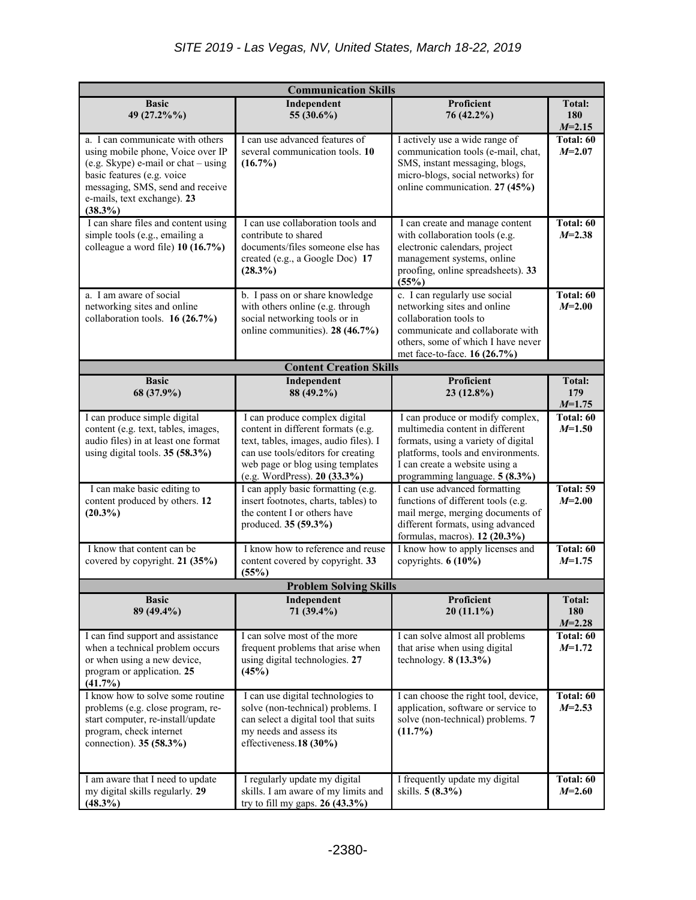| <b>Communication Skills</b>                                                                                                                                                                                                 |                                                                                                                                                                                                                        |                                                                                                                                                                                                                      |                                  |  |  |  |  |
|-----------------------------------------------------------------------------------------------------------------------------------------------------------------------------------------------------------------------------|------------------------------------------------------------------------------------------------------------------------------------------------------------------------------------------------------------------------|----------------------------------------------------------------------------------------------------------------------------------------------------------------------------------------------------------------------|----------------------------------|--|--|--|--|
| <b>Basic</b><br>49 (27.2%%)                                                                                                                                                                                                 | Independent<br>55 (30.6%)                                                                                                                                                                                              | Proficient<br>76 (42.2%)                                                                                                                                                                                             | <b>Total:</b><br>180<br>$M=2.15$ |  |  |  |  |
| a. I can communicate with others<br>using mobile phone, Voice over IP<br>(e.g. Skype) e-mail or chat – using<br>basic features (e.g. voice<br>messaging, SMS, send and receive<br>e-mails, text exchange). 23<br>$(38.3\%)$ | I can use advanced features of<br>several communication tools. 10<br>$(16.7\%)$                                                                                                                                        | I actively use a wide range of<br>communication tools (e-mail, chat,<br>SMS, instant messaging, blogs,<br>micro-blogs, social networks) for<br>online communication. 27 (45%)                                        | Total: 60<br>$M = 2.07$          |  |  |  |  |
| I can share files and content using<br>simple tools (e.g., emailing a<br>colleague a word file) 10 (16.7%)                                                                                                                  | I can use collaboration tools and<br>contribute to shared<br>documents/files someone else has<br>created (e.g., a Google Doc) 17<br>$(28.3\%)$                                                                         | I can create and manage content<br>with collaboration tools (e.g.<br>electronic calendars, project<br>management systems, online<br>proofing, online spreadsheets). 33<br>(55%)                                      | Total: 60<br>$M=2.38$            |  |  |  |  |
| a. I am aware of social<br>networking sites and online<br>collaboration tools. 16 (26.7%)                                                                                                                                   | b. I pass on or share knowledge<br>with others online (e.g. through<br>social networking tools or in<br>online communities). 28 (46.7%)                                                                                | c. I can regularly use social<br>networking sites and online<br>collaboration tools to<br>communicate and collaborate with<br>others, some of which I have never<br>met face-to-face. 16 (26.7%)                     | Total: 60<br>$M = 2.00$          |  |  |  |  |
|                                                                                                                                                                                                                             | <b>Content Creation Skills</b>                                                                                                                                                                                         |                                                                                                                                                                                                                      |                                  |  |  |  |  |
| <b>Basic</b><br>68 (37.9%)                                                                                                                                                                                                  | Independent<br>88 (49.2%)                                                                                                                                                                                              | <b>Proficient</b><br>23 (12.8%)                                                                                                                                                                                      | <b>Total:</b><br>179<br>$M=1.75$ |  |  |  |  |
| I can produce simple digital<br>content (e.g. text, tables, images,<br>audio files) in at least one format<br>using digital tools. $35(58.3\%)$                                                                             | I can produce complex digital<br>content in different formats (e.g.<br>text, tables, images, audio files). I<br>can use tools/editors for creating<br>web page or blog using templates<br>(e.g. WordPress). 20 (33.3%) | I can produce or modify complex,<br>multimedia content in different<br>formats, using a variety of digital<br>platforms, tools and environments.<br>I can create a website using a<br>programming language. 5 (8.3%) | Total: 60<br>$M=1.50$            |  |  |  |  |
| I can make basic editing to<br>content produced by others. 12<br>$(20.3\%)$                                                                                                                                                 | I can apply basic formatting (e.g.<br>insert footnotes, charts, tables) to<br>the content I or others have<br>produced. 35 (59.3%)                                                                                     | I can use advanced formatting<br>functions of different tools (e.g.<br>mail merge, merging documents of<br>different formats, using advanced<br>formulas, macros). 12 (20.3%)                                        | Total: 59<br>$M = 2.00$          |  |  |  |  |
| I know that content can be<br>covered by copyright. 21 (35%)                                                                                                                                                                | I know how to reference and reuse<br>content covered by copyright. 33<br>(55%)                                                                                                                                         | I know how to apply licenses and<br>copyrights. 6 (10%)                                                                                                                                                              | Total: 60<br>$M=1.75$            |  |  |  |  |
| <b>Problem Solving Skills</b>                                                                                                                                                                                               |                                                                                                                                                                                                                        |                                                                                                                                                                                                                      |                                  |  |  |  |  |
| <b>Basic</b><br>89 (49.4%)                                                                                                                                                                                                  | Independent<br>71 (39.4%)                                                                                                                                                                                              | Proficient<br>$20(11.1\%)$                                                                                                                                                                                           | Total:<br>180<br>$M=2.28$        |  |  |  |  |
| I can find support and assistance<br>when a technical problem occurs<br>or when using a new device,<br>program or application. 25<br>(41.7%)                                                                                | I can solve most of the more<br>frequent problems that arise when<br>using digital technologies. 27<br>(45%)                                                                                                           | I can solve almost all problems<br>that arise when using digital<br>technology. $8(13.3\%)$                                                                                                                          | Total: 60<br>$M=1.72$            |  |  |  |  |
| I know how to solve some routine<br>problems (e.g. close program, re-<br>start computer, re-install/update<br>program, check internet<br>connection). 35 (58.3%)                                                            | I can use digital technologies to<br>solve (non-technical) problems. I<br>can select a digital tool that suits<br>my needs and assess its<br>effectiveness.18 (30%)                                                    | I can choose the right tool, device,<br>application, software or service to<br>solve (non-technical) problems. 7<br>(11.7%)                                                                                          | Total: 60<br>$M=2.53$            |  |  |  |  |
| I am aware that I need to update<br>my digital skills regularly. 29<br>$(48.3\%)$                                                                                                                                           | I regularly update my digital<br>skills. I am aware of my limits and<br>try to fill my gaps. $26 (43.3%)$                                                                                                              | I frequently update my digital<br>skills. 5 (8.3%)                                                                                                                                                                   | Total: 60<br>$M=2.60$            |  |  |  |  |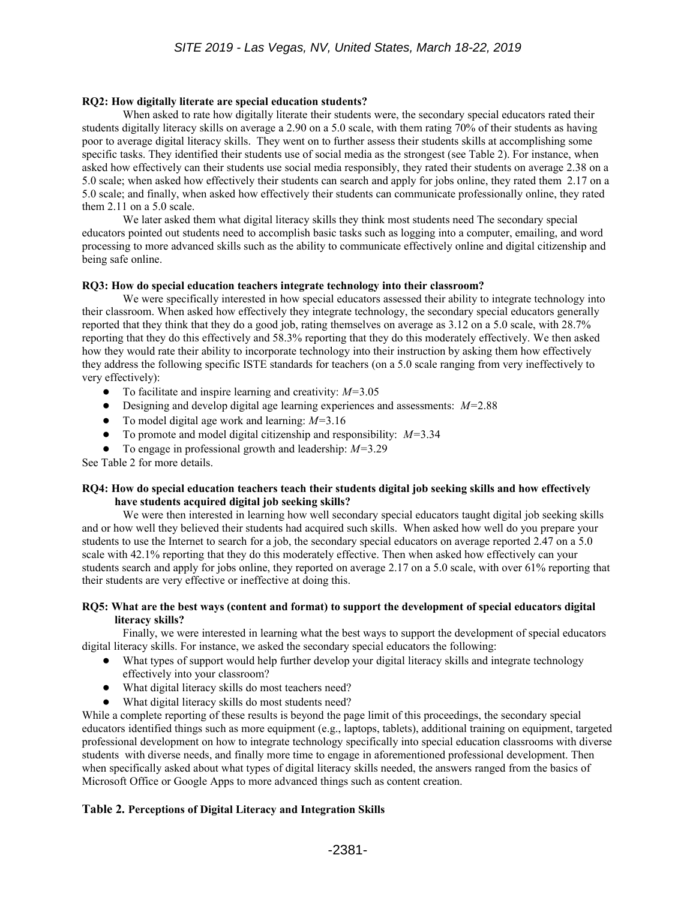#### **RQ2: How digitally literate are special education students?**

When asked to rate how digitally literate their students were, the secondary special educators rated their students digitally literacy skills on average a 2.90 on a 5.0 scale, with them rating 70% of their students as having poor to average digital literacy skills. They went on to further assess their students skills at accomplishing some specific tasks. They identified their students use of social media as the strongest (see Table 2). For instance, when asked how effectively can their students use social media responsibly, they rated their students on average 2.38 on a 5.0 scale; when asked how effectively their students can search and apply for jobs online, they rated them 2.17 on a 5.0 scale; and finally, when asked how effectively their students can communicate professionally online, they rated them 2.11 on a 5.0 scale.

We later asked them what digital literacy skills they think most students need The secondary special educators pointed out students need to accomplish basic tasks such as logging into a computer, emailing, and word processing to more advanced skills such as the ability to communicate effectively online and digital citizenship and being safe online.

#### **RQ3: How do special education teachers integrate technology into their classroom?**

We were specifically interested in how special educators assessed their ability to integrate technology into their classroom. When asked how effectively they integrate technology, the secondary special educators generally reported that they think that they do a good job, rating themselves on average as 3.12 on a 5.0 scale, with 28.7% reporting that they do this effectively and 58.3% reporting that they do this moderately effectively. We then asked how they would rate their ability to incorporate technology into their instruction by asking them how effectively they address the following specific ISTE standards for teachers (on a 5.0 scale ranging from very ineffectively to very effectively):

- To facilitate and inspire learning and creativity: *M=*3.05
- Designing and develop digital age learning experiences and assessments: *M=*2.88
- To model digital age work and learning: *M=*3.16
- To promote and model digital citizenship and responsibility: *M=*3.34
- To engage in professional growth and leadership: *M=*3.29

See Table 2 for more details.

#### **RQ4: How do special education teachers teach their students digital job seeking skills and how effectively have students acquired digital job seeking skills?**

We were then interested in learning how well secondary special educators taught digital job seeking skills and or how well they believed their students had acquired such skills. When asked how well do you prepare your students to use the Internet to search for a job, the secondary special educators on average reported 2.47 on a 5.0 scale with 42.1% reporting that they do this moderately effective. Then when asked how effectively can your students search and apply for jobs online, they reported on average 2.17 on a 5.0 scale, with over 61% reporting that their students are very effective or ineffective at doing this.

#### **RQ5: What are the best ways (content and format) to support the development of special educators digital literacy skills?**

Finally, we were interested in learning what the best ways to support the development of special educators digital literacy skills. For instance, we asked the secondary special educators the following:

- What types of support would help further develop your digital literacy skills and integrate technology effectively into your classroom?
- What digital literacy skills do most teachers need?
- What digital literacy skills do most students need?

While a complete reporting of these results is beyond the page limit of this proceedings, the secondary special educators identified things such as more equipment (e.g., laptops, tablets), additional training on equipment, targeted professional development on how to integrate technology specifically into special education classrooms with diverse students with diverse needs, and finally more time to engage in aforementioned professional development. Then when specifically asked about what types of digital literacy skills needed, the answers ranged from the basics of Microsoft Office or Google Apps to more advanced things such as content creation.

### **Table 2. Perceptions of Digital Literacy and Integration Skills**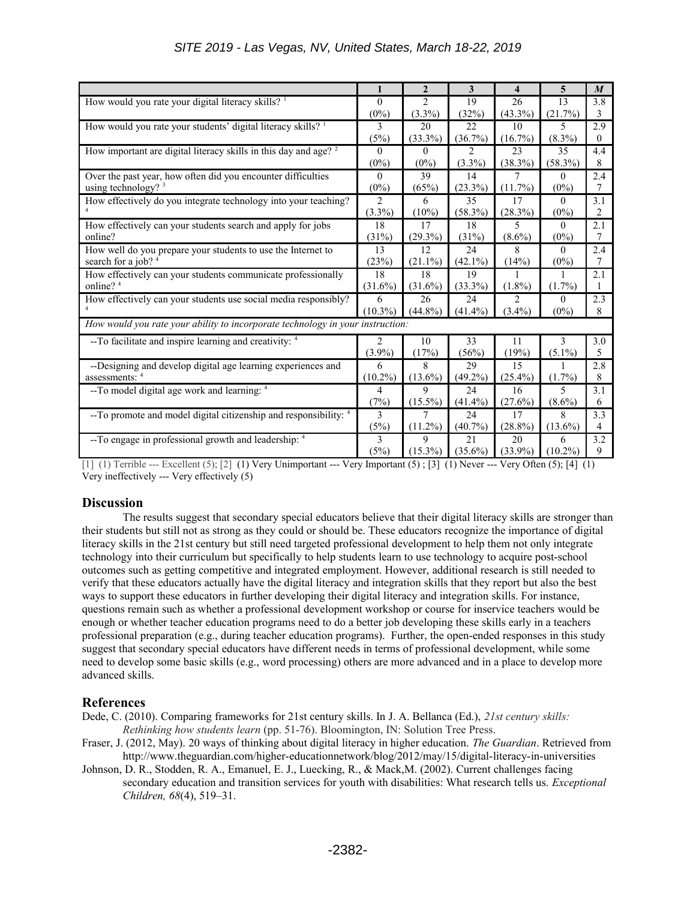|                                                                                                | $\mathbf{1}$   | $\overline{2}$ | 3          | $\overline{\mathbf{4}}$ | $\overline{5}$ | $\boldsymbol{M}$ |  |
|------------------------------------------------------------------------------------------------|----------------|----------------|------------|-------------------------|----------------|------------------|--|
| How would you rate your digital literacy skills? <sup>1</sup>                                  | $\theta$       | $\overline{c}$ | 19         | 26                      | 13             | 3.8              |  |
|                                                                                                | $(0\%)$        | $(3.3\%)$      | (32%)      | $(43.3\%)$              | (21.7%)        | 3                |  |
| How would you rate your students' digital literacy skills? <sup>1</sup>                        | 3              | 20             | 22         | 10                      | 5              | 2.9              |  |
|                                                                                                | (5%)           | $(33.3\%)$     | (36.7%)    | $(16.7\%)$              | $(8.3\%)$      | $\theta$         |  |
| How important are digital literacy skills in this day and age? <sup>2</sup>                    | $\theta$       | $\theta$       | 2          | 23                      | 35             | 4.4              |  |
|                                                                                                | $(0\%)$        | $(0\%)$        | $(3.3\%)$  | (38.3%)                 | $(58.3\%)$     | 8                |  |
| Over the past year, how often did you encounter difficulties<br>using technology? <sup>3</sup> |                | 39             | 14         | 7                       | $\Omega$       | 2.4              |  |
|                                                                                                |                | (65%)          | $(23.3\%)$ | $(11.7\%)$              | $(0\%)$        | 7                |  |
| How effectively do you integrate technology into your teaching?                                | $\overline{c}$ | 6              | 35         | 17                      | $\theta$       | 3.1              |  |
|                                                                                                | $(3.3\%)$      | $(10\%)$       | $(58.3\%)$ | (28.3%)                 | $(0\%)$        | 2                |  |
| How effectively can your students search and apply for jobs                                    | 18             | 17             | 18         | 5                       | $\theta$       | 2.1              |  |
| online?                                                                                        | (31%)          | $(29.3\%)$     | (31%)      | $(8.6\%)$               | $(0\%)$        | 7                |  |
| How well do you prepare your students to use the Internet to                                   | 13             | 12             | 24         | 8                       | $\theta$       | 2.4              |  |
| search for a job? 4                                                                            | (23%)          | $(21.1\%)$     | $(42.1\%)$ | (14%)                   | $(0\%)$        | 7                |  |
| How effectively can your students communicate professionally                                   | 18             | 18             | 19         | 1                       | $\mathbf{1}$   | 2.1              |  |
| online? <sup>4</sup>                                                                           | $(31.6\%)$     | $(31.6\%)$     | $(33.3\%)$ | $(1.8\%)$               | $(1.7\%)$      |                  |  |
| How effectively can your students use social media responsibly?                                | 6              | 26             | 24         | 2                       | $\Omega$       | 2.3              |  |
|                                                                                                | $(10.3\%)$     | $(44.8\%)$     | $(41.4\%)$ | $(3.4\%)$               | $(0\%)$        | 8                |  |
| How would you rate your ability to incorporate technology in your instruction:                 |                |                |            |                         |                |                  |  |
| --To facilitate and inspire learning and creativity: 4                                         | 2              | 10             | 33         | 11                      | 3              | 3.0              |  |
|                                                                                                | $(3.9\%)$      | (17%)          | (56%)      | (19%)                   | $(5.1\%)$      | 5                |  |
| --Designing and develop digital age learning experiences and                                   | 6              | 8              | 29         | 15                      | 1              | 2.8              |  |
| assessments: 4                                                                                 | $(10.2\%)$     | $(13.6\%)$     | $(49.2\%)$ | $(25.4\%)$              | $(1.7\%)$      | 8                |  |
| --To model digital age work and learning: 4                                                    | 4              | 9              | 24         | 16                      | 5              | 3.1              |  |
|                                                                                                | (7%)           | $(15.5\%)$     | $(41.4\%)$ | (27.6%)                 | $(8.6\%)$      | 6                |  |
| --To promote and model digital citizenship and responsibility: 4                               | 3              | 7              | 24         | 17                      | 8              | 3.3              |  |
|                                                                                                | (5%)           | $(11.2\%)$     | $(40.7\%)$ | $(28.8\%)$              | $(13.6\%)$     | $\overline{4}$   |  |
| --To engage in professional growth and leadership: 4                                           | 3              | 9              | 21         | 20                      | 6              | 3.2              |  |
|                                                                                                | (5%)           | $(15.3\%)$     | $(35.6\%)$ | $(33.9\%)$              | $(10.2\%)$     | 9                |  |

[1] (1) Terrible --- Excellent  $(5)$ ; [2] (1) Very Unimportant --- Very Important  $(5)$ ; [3] (1) Never --- Very Often  $(5)$ ; [4] (1) Very ineffectively --- Very effectively (5)

# **Discussion**

The results suggest that secondary special educators believe that their digital literacy skills are stronger than their students but still not as strong as they could or should be. These educators recognize the importance of digital literacy skills in the 21st century but still need targeted professional development to help them not only integrate technology into their curriculum but specifically to help students learn to use technology to acquire post-school outcomes such as getting competitive and integrated employment. However, additional research is still needed to verify that these educators actually have the digital literacy and integration skills that they report but also the best ways to support these educators in further developing their digital literacy and integration skills. For instance, questions remain such as whether a professional development workshop or course for inservice teachers would be enough or whether teacher education programs need to do a better job developing these skills early in a teachers professional preparation (e.g., during teacher education programs). Further, the open-ended responses in this study suggest that secondary special educators have different needs in terms of professional development, while some need to develop some basic skills (e.g., word processing) others are more advanced and in a place to develop more advanced skills.

# **References**

Dede, C. (2010). Comparing frameworks for 21st century skills. In J. A. Bellanca (Ed.), *21st century skills: Rethinking how students learn* (pp. 51-76). Bloomington, IN: Solution Tree Press.

- Fraser, J. (2012, May). 20 ways of thinking about digital literacy in higher education. *The Guardian*. Retrieved from http://www.theguardian.com/higher-educationnetwork/blog/2012/may/15/digital-literacy-in-universities
- Johnson, D. R., Stodden, R. A., Emanuel, E. J., Luecking, R., & Mack,M. (2002). Current challenges facing secondary education and transition services for youth with disabilities: What research tells us. *Exceptional Children, 68*(4), 519–31.